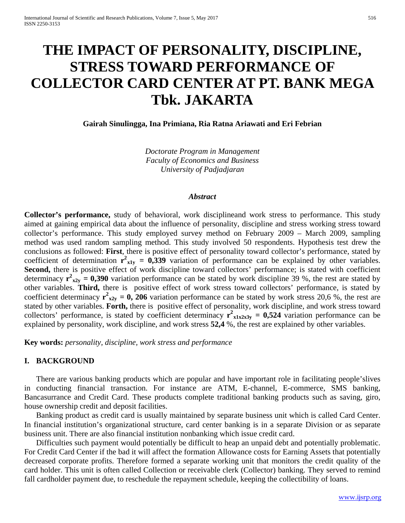# **THE IMPACT OF PERSONALITY, DISCIPLINE, STRESS TOWARD PERFORMANCE OF COLLECTOR CARD CENTER AT PT. BANK MEGA Tbk. JAKARTA**

**Gairah Sinulingga, Ina Primiana, Ria Ratna Ariawati and Eri Febrian**

*Doctorate Program in Management Faculty of Economics and Business University of Padjadjaran*

#### *Abstract*

**Collector's performance,** study of behavioral, work disciplineand work stress to performance. This study aimed at gaining empirical data about the influence of personality, discipline and stress working stress toward collector's performance. This study employed survey method on February 2009 – March 2009, sampling method was used random sampling method. This study involved 50 respondents. Hypothesis test drew the conclusions as followed: **First**, there is positive effect of personality toward collector's performance, stated by coefficient of determination  $r^2$ <sub>x1y</sub> = 0,339 variation of performance can be explained by other variables. Second, there is positive effect of work discipline toward collectors' performance; is stated with coefficient determinacy  $r^2_{x2y} = 0,390$  variation performance can be stated by work discipline 39 %, the rest are stated by other variables. **Third,** there is positive effect of work stress toward collectors' performance, is stated by coefficient determinacy  $r^2 x_{2y} = 0$ , 206 variation performance can be stated by work stress 20,6 %, the rest are stated by other variables. **Forth,** there is positive effect of personality, work discipline, and work stress toward collectors' performance, is stated by coefficient determinacy  $\mathbf{r}^2_{x1x2x3y} = 0.524$  variation performance can be explained by personality, work discipline, and work stress **52,4** %, the rest are explained by other variables.

**Key words:** *personality, discipline, work stress and performance*

## **I. BACKGROUND**

There are various banking products which are popular and have important role in facilitating people'slives in conducting financial transaction. For instance are ATM, E-channel, E-commerce, SMS banking, Bancasurrance and Credit Card. These products complete traditional banking products such as saving, giro, house ownership credit and deposit facilities.

Banking product as credit card is usually maintained by separate business unit which is called Card Center. In financial institution's organizational structure, card center banking is in a separate Division or as separate business unit. There are also financial institution nonbanking which issue credit card.

Difficulties such payment would potentially be difficult to heap an unpaid debt and potentially problematic. For Credit Card Center if the bad it will affect the formation Allowance costs for Earning Assets that potentially decreased corporate profits. Therefore formed a separate working unit that monitors the credit quality of the card holder. This unit is often called Collection or receivable clerk (Collector) banking. They served to remind fall cardholder payment due, to reschedule the repayment schedule, keeping the collectibility of loans.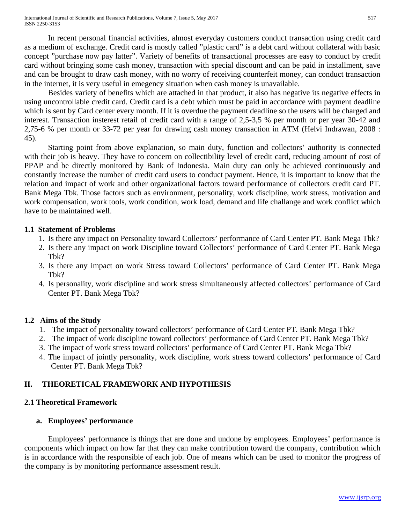International Journal of Scientific and Research Publications, Volume 7, Issue 5, May 2017 ISSN 2250-3153

In recent personal financial activities, almost everyday customers conduct transaction using credit card as a medium of exchange. Credit card is mostly called "plastic card" is a debt card without collateral with basic concept "purchase now pay latter". Variety of benefits of transactional processes are easy to conduct by credit card without bringing some cash money, transaction with special discount and can be paid in installment, save and can be brought to draw cash money, with no worry of receiving counterfeit money, can conduct transaction in the internet, it is very useful in emegency situation when cash money is unavailable.

Besides variety of benefits which are attached in that product, it also has negative its negative effects in using uncontrollable credit card. Credit card is a debt which must be paid in accordance with payment deadline which is sent by Card center every month. If it is overdue the payment deadline so the users will be charged and interest. Transaction insterest retail of credit card with a range of 2,5-3,5 % per month or per year 30-42 and 2,75-6 % per month or 33-72 per year for drawing cash money transaction in ATM (Helvi Indrawan, 2008 : 45).

Starting point from above explanation, so main duty, function and collectors' authority is connected with their job is heavy. They have to concern on collectibility level of credit card, reducing amount of cost of PPAP and be directly monitored by Bank of Indonesia. Main duty can only be achieved continuously and constantly increase the number of credit card users to conduct payment. Hence, it is important to know that the relation and impact of work and other organizational factors toward performance of collectors credit card PT. Bank Mega Tbk. Those factors such as environment, personality, work discipline, work stress, motivation and work compensation, work tools, work condition, work load, demand and life challange and work conflict which have to be maintained well.

#### **1.1 Statement of Problems**

- 1. Is there any impact on Personality toward Collectors' performance of Card Center PT. Bank Mega Tbk?
- 2. Is there any impact on work Discipline toward Collectors' performance of Card Center PT. Bank Mega Tbk?
- 3. Is there any impact on work Stress toward Collectors' performance of Card Center PT. Bank Mega T<sub>bk</sub>?
- 4. Is personality, work discipline and work stress simultaneously affected collectors' performance of Card Center PT. Bank Mega Tbk?

#### **1.2 Aims of the Study**

- 1. The impact of personality toward collectors' performance of Card Center PT. Bank Mega Tbk?
- 2. The impact of work discipline toward collectors' performance of Card Center PT. Bank Mega Tbk?
- 3. The impact of work stress toward collectors' performance of Card Center PT. Bank Mega Tbk?
- 4. The impact of jointly personality, work discipline, work stress toward collectors' performance of Card Center PT. Bank Mega Tbk?

#### **II. THEORETICAL FRAMEWORK AND HYPOTHESIS**

#### **2.1 Theoretical Framework**

#### **a. Employees' performance**

Employees' performance is things that are done and undone by employees. Employees' performance is components which impact on how far that they can make contribution toward the company, contribution which is in accordance with the responsible of each job. One of means which can be used to monitor the progress of the company is by monitoring performance assessment result.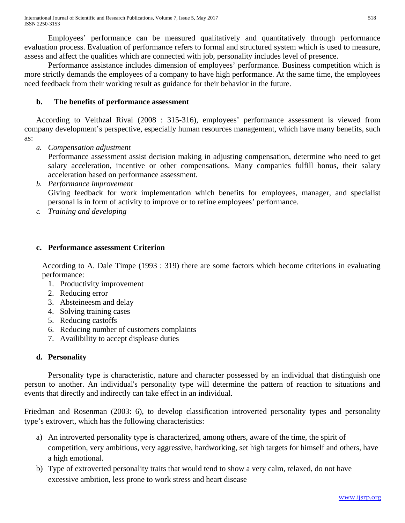Employees' performance can be measured qualitatively and quantitatively through performance evaluation process. Evaluation of performance refers to formal and structured system which is used to measure, assess and affect the qualities which are connected with job, personality includes level of presence.

Performance assistance includes dimension of employees' performance. Business competition which is more strictly demands the employees of a company to have high performance. At the same time, the employees need feedback from their working result as guidance for their behavior in the future.

# **b. The benefits of performance assessment**

According to Veithzal Rivai (2008 : 315-316), employees' performance assessment is viewed from company development's perspective, especially human resources management, which have many benefits, such as:

*a. Compensation adjustment*

Performance assessment assist decision making in adjusting compensation, determine who need to get salary acceleration, incentive or other compensations. Many companies fulfill bonus, their salary acceleration based on performance assessment.

- *b. Performance improvement* Giving feedback for work implementation which benefits for employees, manager, and specialist personal is in form of activity to improve or to refine employees' performance.
- *c. Training and developing*

# **c. Performance assessment Criterion**

According to A. Dale Timpe (1993 : 319) there are some factors which become criterions in evaluating performance:

- 1. Productivity improvement
- 2. Reducing error
- 3. Absteineesm and delay
- 4. Solving training cases
- 5. Reducing castoffs
- 6. Reducing number of customers complaints
- 7. Availibility to accept displease duties

# **d. Personality**

Personality type is characteristic, nature and character possessed by an individual that distinguish one person to another. An individual's personality type will determine the pattern of reaction to situations and events that directly and indirectly can take effect in an individual.

Friedman and Rosenman (2003: 6), to develop classification introverted personality types and personality type's extrovert, which has the following characteristics:

- a) An introverted personality type is characterized, among others, aware of the time, the spirit of competition, very ambitious, very aggressive, hardworking, set high targets for himself and others, have a high emotional.
- b) Type of extroverted personality traits that would tend to show a very calm, relaxed, do not have excessive ambition, less prone to work stress and heart disease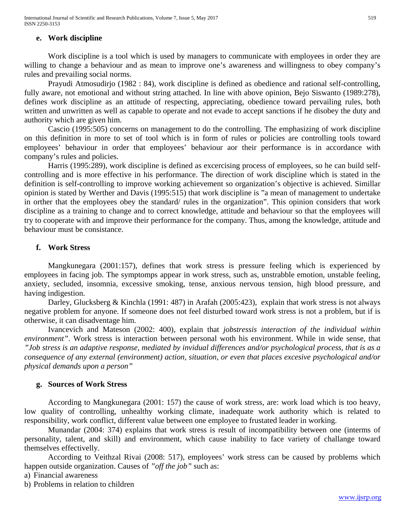## **e. Work discipline**

Work discipline is a tool which is used by managers to communicate with employees in order they are willing to change a behaviour and as mean to improve one's awareness and willingness to obey company's rules and prevailing social norms.

Prayudi Atmosudirjo (1982 : 84), work discipline is defined as obedience and rational self-controlling, fully aware, not emotional and without string attached. In line with above opinion, Bejo Siswanto (1989:278), defines work discipline as an attitude of respecting, appreciating, obedience toward pervailing rules, both written and unwritten as well as capable to operate and not evade to accept sanctions if he disobey the duty and authority which are given him.

Cascio (1995:505) concerns on management to do the controlling. The emphasizing of work discipline on this definition in more to set of tool which is in form of rules or policies are controlling tools toward employees' behaviour in order that employees' behaviour aor their performance is in accordance with company's rules and policies.

Harris (1995:289), work discipline is defined as excercising process of employees, so he can build selfcontrolling and is more effective in his performance. The direction of work discipline which is stated in the definition is self-controlling to improve working achievement so organization's objective is achieved. Simillar opinion is stated by Werther and Davis (1995:515) that work discipline is "a mean of management to undertake in orther that the employees obey the standard/ rules in the organization". This opinion considers that work discipline as a training to change and to correct knowledge, attitude and behaviour so that the employees will try to cooperate with and improve their performance for the company. Thus, among the knowledge, attitude and behaviour must be consistance.

## **f. Work Stress**

Mangkunegara (2001:157), defines that work stress is pressure feeling which is experienced by employees in facing job. The symptomps appear in work stress, such as, unstrabble emotion, unstable feeling, anxiety, secluded, insomnia, excessive smoking, tense, anxious nervous tension, high blood pressure, and having indigestion.

Darley, Glucksberg & Kinchla (1991: 487) in Arafah (2005:423), explain that work stress is not always negative problem for anyone. If someone does not feel disturbed toward work stress is not a problem, but if is otherwise, it can disadventage him.

Ivancevich and Mateson (2002: 400), explain that *jobstressis interaction of the individual within environment"*. Work stress is interaction between personal woth his environment. While in wide sense, that *"Job stress is an adaptive response, mediated by invidual differences and/or psychological process, that is as a consequence of any external (environment) action, situation, or even that places excesive psychological and/or physical demands upon a person"*

#### **g. Sources of Work Stress**

According to Mangkunegara (2001: 157) the cause of work stress, are: work load which is too heavy, low quality of controlling, unhealthy working climate, inadequate work authority which is related to responsibility, work conflict, different value between one employee to frustated leader in working.

Munandar (2004: 374) explains that work stress is result of incompatibility between one (interms of personality, talent, and skill) and environment, which cause inability to face variety of challange toward themselves effectivelly.

According to Veithzal Rivai (2008: 517), employees' work stress can be caused by problems which happen outside organization. Causes of *"off the job"* such as:

a) Financial awareness

b) Problems in relation to children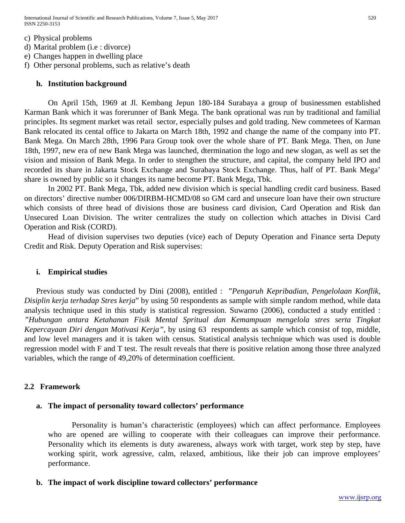International Journal of Scientific and Research Publications, Volume 7, Issue 5, May 2017 520 ISSN 2250-3153

c) Physical problems

- d) Marital problem (i.e : divorce)
- e) Changes happen in dwelling place
- f) Other personal problems, such as relative's death

#### **h. Institution background**

On April 15th, 1969 at Jl. Kembang Jepun 180-184 Surabaya a group of businessmen established Karman Bank which it was forerunner of Bank Mega. The bank oprational was run by traditional and familial principles. Its segment market was retail sector, especially pulses and gold trading. New commetees of Karman Bank relocated its cental office to Jakarta on March 18th, 1992 and change the name of the company into PT. Bank Mega. On March 28th, 1996 Para Group took over the whole share of PT. Bank Mega. Then, on June 18th, 1997, new era of new Bank Mega was launched, dtermination the logo and new slogan, as well as set the vision and mission of Bank Mega. In order to stengthen the structure, and capital, the company held IPO and recorded its share in Jakarta Stock Exchange and Surabaya Stock Exchange. Thus, half of PT. Bank Mega' share is owned by public so it changes its name become PT. Bank Mega, Tbk.

In 2002 PT. Bank Mega, Tbk, added new division which is special handling credit card business. Based on directors' directive number 006/DIRBM-HCMD/08 so GM card and unsecure loan have their own structure which consists of three head of divisions those are business card division, Card Operation and Risk dan Unsecured Loan Division. The writer centralizes the study on collection which attaches in Divisi Card Operation and Risk (CORD).

Head of division supervises two deputies (vice) each of Deputy Operation and Finance serta Deputy Credit and Risk. Deputy Operation and Risk supervises:

#### **i. Empirical studies**

Previous study was conducted by Dini (2008), entitled : "*Pengaruh Kepribadian, Pengelolaan Konflik, Disiplin kerja terhadap Stres kerja*" by using 50 respondents as sample with simple random method, while data analysis technique used in this study is statistical regression. Suwarno (2006), conducted a study entitled : *"Hubungan antara Ketahanan Fisik Mental Spritual dan Kemampuan mengelola stres serta Tingkat Kepercayaan Diri dengan Motivasi Kerja"*, by using 63 respondents as sample which consist of top, middle, and low level managers and it is taken with census. Statistical analysis technique which was used is double regression model with F and T test. The result reveals that there is positive relation among those three analyzed variables, which the range of 49,20% of determination coefficient.

#### **2.2 Framework**

#### **a. The impact of personality toward collectors' performance**

Personality is human's characteristic (employees) which can affect performance. Employees who are opened are willing to cooperate with their colleagues can improve their performance. Personality which its elements is duty awareness, always work with target, work step by step, have working spirit, work agressive, calm, relaxed, ambitious, like their job can improve employees' performance.

#### **b. The impact of work discipline toward collectors' performance**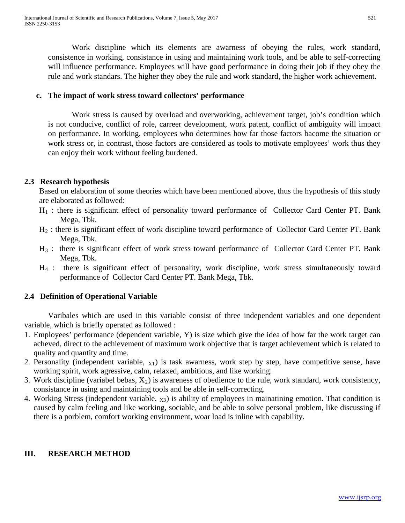Work discipline which its elements are awarness of obeying the rules, work standard, consistence in working, consistance in using and maintaining work tools, and be able to self-correcting will influence performance. Employees will have good performance in doing their job if they obey the rule and work standars. The higher they obey the rule and work standard, the higher work achievement.

## **c. The impact of work stress toward collectors' performance**

Work stress is caused by overload and overworking, achievement target, job's condition which is not conducive, conflict of role, carreer development, work patent, conflict of ambiguity will impact on performance. In working, employees who determines how far those factors bacome the situation or work stress or, in contrast, those factors are considered as tools to motivate employees' work thus they can enjoy their work without feeling burdened.

# **2.3 Research hypothesis**

Based on elaboration of some theories which have been mentioned above, thus the hypothesis of this study are elaborated as followed:

- $H_1$ : there is significant effect of personality toward performance of Collector Card Center PT. Bank Mega, Tbk.
- H2 : there is significant effect of work discipline toward performance of Collector Card Center PT. Bank Mega, Tbk.
- H<sub>3</sub> : there is significant effect of work stress toward performance of Collector Card Center PT. Bank Mega, Tbk.
- H4 : there is significant effect of personality, work discipline, work stress simultaneously toward performance of Collector Card Center PT. Bank Mega, Tbk.

# **2.4 Definition of Operational Variable**

Varibales which are used in this variable consist of three independent variables and one dependent variable, which is briefly operated as followed :

- 1. Employees' performance (dependent variable, Y) is size which give the idea of how far the work target can acheved, direct to the achievement of maximum work objective that is target achievement which is related to quality and quantity and time.
- 2. Personality (independent variable,  $X_1$ ) is task awarness, work step by step, have competitive sense, have working spirit, work agressive, calm, relaxed, ambitious, and like working.
- 3. Work discipline (variabel bebas,  $X_2$ ) is awareness of obedience to the rule, work standard, work consistency, consistance in using and maintaining tools and be able in self-correcting.
- 4. Working Stress (independent variable,  $\chi_3$ ) is ability of employees in mainatining emotion. That condition is caused by calm feeling and like working, sociable, and be able to solve personal problem, like discussing if there is a porblem, comfort working environment, woar load is inline with capability.

# **III. RESEARCH METHOD**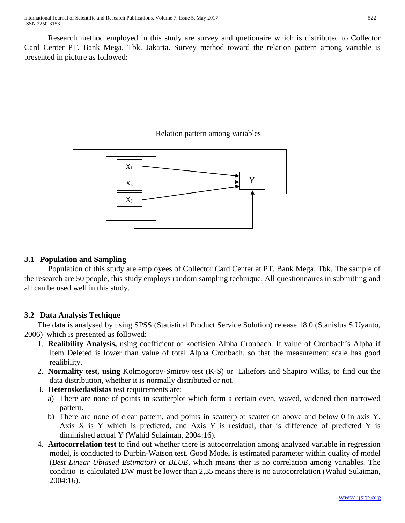Research method employed in this study are survey and quetionaire which is distributed to Collector Card Center PT. Bank Mega, Tbk. Jakarta. Survey method toward the relation pattern among variable is presented in picture as followed:

# Relation pattern among variables



# **3.1 Population and Sampling**

Population of this study are employees of Collector Card Center at PT. Bank Mega, Tbk. The sample of the research are 50 people, this study employs random sampling technique. All questionnaires in submitting and all can be used well in this study.

# **3.2 Data Analysis Techique**

The data is analysed by using SPSS (Statistical Product Service Solution) release 18.0 (Stanislus S Uyanto, 2006) which is presented as followed:

- 1. **Realibility Analysis,** using coefficient of koefisien Alpha Cronbach. If value of Cronbach's Alpha if Item Deleted is lower than value of total Alpha Cronbach, so that the measurement scale has good realibility.
- 2. **Normality test, using** Kolmogorov-Smirov test (K-S) or Liliefors and Shapiro Wilks, to find out the data distribution, whether it is normally distributed or not.
- 3. **Heteroskedastistas** test requirements are:
	- a) There are none of points in scatterplot which form a certain even, waved, widened then narrowed pattern.
	- b) There are none of clear pattern, and points in scatterplot scatter on above and below 0 in axis Y. Axis X is Y which is predicted, and Axis Y is residual, that is difference of predicted Y is diminished actual Y (Wahid Sulaiman, 2004:16).
- 4. **Autocorrelation test** to find out whether there is autocorrelation among analyzed variable in regression model, is conducted to Durbin-Watson test. Good Model is estimated parameter within quality of model (*Best Linear Ubiased Estimator)* or *BLUE,* which means ther is no correlation among variables. The conditio is calculated DW must be lower than 2,35 means there is no autocorrelation (Wahid Sulaiman, 2004:16).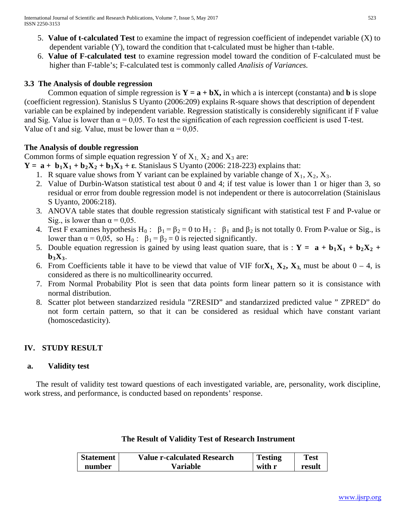- 5. **Value of t-calculated Test** to examine the impact of regression coefficient of independet variable (X) to dependent variable (Y), toward the condition that t-calculated must be higher than t-table.
- 6. **Value of F-calculated test** to examine regression model toward the condition of F-calculated must be higher than F-table's; F-calculated test is commonly called *Analisis of Variances.*

# **3.3 The Analysis of double regression**

Common equation of simple regression is  $Y = a + bX$ , in which a is intercept (constanta) and **b** is slope (coefficient regression). Stanislus S Uyanto (2006:209) explains R-square shows that description of dependent variable can be explained by independent variable. Regression statistically is considerebly significant if F value and Sig. Value is lower than  $\alpha = 0.05$ . To test the signification of each regression coefficient is used T-test. Value of t and sig. Value, must be lower than  $\alpha = 0.05$ .

# **The Analysis of double regression**

Common forms of simple equation regression Y of  $X_1$ ,  $X_2$  and  $X_3$  are:

- $Y = a + b_1X_1 + b_2X_2 + b_3X_3 + \epsilon$ . Stanislaus S Uyanto (2006: 218-223) explains that:
	- 1. R square value shows from Y variant can be explained by variable change of  $X_1, X_2, X_3$ .
	- 2. Value of Durbin-Watson statistical test about 0 and 4; if test value is lower than 1 or higer than 3, so residual or error from double regression model is not independent or there is autocorrelation (Stainislaus S Uyanto, 2006:218).
	- 3. ANOVA table states that double regression statisticaly significant with statistical test F and P-value or Sig., is lower than  $\alpha = 0.05$ .
	- 4. Test F examines hypothesis H<sub>0</sub>:  $\beta_1 = \beta_2 = 0$  to H<sub>1</sub>:  $\beta_1$  and  $\beta_2$  is not totally 0. From P-value or Sig., is lower than  $\alpha = 0.05$ , so H<sub>0</sub>:  $\beta_1 = \beta_2 = 0$  is rejected significantly.
	- 5. Double equation regression is gained by using least quation suare, that is :  $Y = a + b_1X_1 + b_2X_2 +$  $\mathbf{b}_3\mathbf{X}_3$ .
	- 6. From Coefficients table it have to be viewd that value of VIF for $X_1, X_2, X_3$  must be about  $0 4$ , is considered as there is no multicollinearity occurred.
	- 7. From Normal Probability Plot is seen that data points form linear pattern so it is consistance with normal distribution.
	- 8. Scatter plot between standarzized residula "ZRESID" and standarzized predicted value " ZPRED" do not form certain pattern, so that it can be considered as residual which have constant variant (homoscedasticity).

# **IV. STUDY RESULT**

## **a. Validity test**

The result of validity test toward questions of each investigated variable, are, personality, work discipline, work stress, and performance, is conducted based on repondents' response.

# **The Result of Validity Test of Research Instrument**

| <b>Statement</b> | <b>Value r-calculated Research</b> | <b>Testing</b> | <b>Test</b> |
|------------------|------------------------------------|----------------|-------------|
| number           | Variable                           | with r         | result      |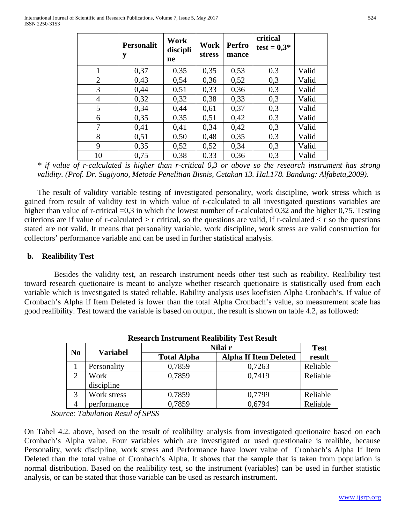|                | <b>Personalit</b><br>y | Work<br>discipli<br>ne | Work<br><b>stress</b> | <b>Perfro</b><br>mance | critical<br>$test = 0,3*$ |       |
|----------------|------------------------|------------------------|-----------------------|------------------------|---------------------------|-------|
| $\mathbf{1}$   | 0,37                   | 0,35                   | 0,35                  | 0,53                   | 0,3                       | Valid |
| $\overline{2}$ | 0,43                   | 0,54                   | 0,36                  | 0,52                   | 0,3                       | Valid |
| 3              | 0,44                   | 0,51                   | 0,33                  | 0,36                   | 0,3                       | Valid |
| $\overline{4}$ | 0,32                   | 0,32                   | 0,38                  | 0,33                   | 0,3                       | Valid |
| 5              | 0,34                   | 0,44                   | 0,61                  | 0,37                   | 0,3                       | Valid |
| 6              | 0,35                   | 0,35                   | 0,51                  | 0,42                   | 0,3                       | Valid |
| 7              | 0,41                   | 0,41                   | 0,34                  | 0,42                   | 0,3                       | Valid |
| 8              | 0,51                   | 0,50                   | 0,48                  | 0,35                   | 0,3                       | Valid |
| 9              | 0,35                   | 0,52                   | 0,52                  | 0,34                   | 0,3                       | Valid |
| 10             | 0,75                   | 0,38                   | 0.33                  | 0,36                   | 0,3                       | Valid |

*\* if value of r-calculated is higher than r-critical 0,3 or above so the research instrument has strong validity. (Prof. Dr. Sugiyono, Metode Penelitian Bisnis, Cetakan 13. Hal.178. Bandung: Alfabeta,2009).* 

The result of validity variable testing of investigated personality, work discipline, work stress which is gained from result of validity test in which value of r-calculated to all investigated questions variables are higher than value of r-critical  $=0.3$  in which the lowest number of r-calculated 0,32 and the higher 0,75. Testing criterions are if value of r-calculated  $>$  r critical, so the questions are valid, if r-calculated  $<$  r so the questions stated are not valid. It means that personality variable, work discipline, work stress are valid construction for collectors' performance variable and can be used in further statistical analysis.

## **b. Realibility Test**

Besides the validity test, an research instrument needs other test such as reability. Realibility test toward research quetionaire is meant to analyze whether research quetionaire is statistically used from each variable which is investigated is stated reliable. Rability analysis uses koefisien Alpha Cronbach's. If value of Cronbach's Alpha if Item Deleted is lower than the total Alpha Cronbach's value, so measurement scale has good realibility. Test toward the variable is based on output, the result is shown on table 4.2, as followed:

| Research Histi unient Realibility Test Result |             |                    |                              |          |  |  |
|-----------------------------------------------|-------------|--------------------|------------------------------|----------|--|--|
| N <sub>0</sub>                                | Variabel    | Nilai r            | <b>Test</b>                  |          |  |  |
|                                               |             | <b>Total Alpha</b> | <b>Alpha If Item Deleted</b> | result   |  |  |
|                                               | Personality | 0,7859             | 0,7263                       | Reliable |  |  |
| $\mathcal{D}$                                 | Work        | 0,7859             | 0,7419                       | Reliable |  |  |
|                                               | discipline  |                    |                              |          |  |  |
| 3                                             | Work stress | 0,7859             | 0,7799                       | Reliable |  |  |
|                                               | performance | 0,7859             | 0,6794                       | Reliable |  |  |

**Research Instrument Realibility Test Result**

*Source: Tabulation Resul of SPSS*

On Tabel 4.2. above, based on the result of realibility analysis from investigated quetionaire based on each Cronbach's Alpha value. Four variables which are investigated or used questionaire is realible, because Personality, work discipline, work stress and Performance have lower value of Cronbach's Alpha If Item Deleted than the total value of Cronbach's Alpha. It shows that the sample that is taken from population is normal distribution. Based on the realibility test, so the instrument (variables) can be used in further statistic analysis, or can be stated that those variable can be used as research instrument.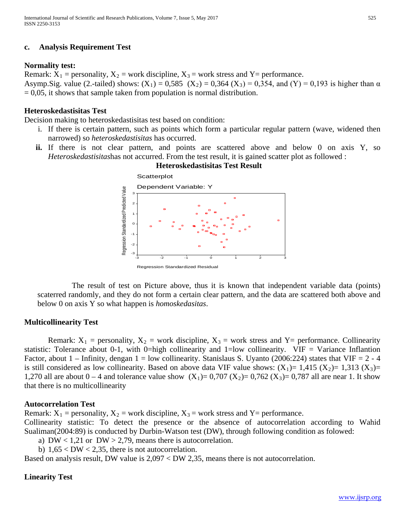## **c. Analysis Requirement Test**

## **Normality test:**

Remark:  $X_1$  = personality,  $X_2$  = work discipline,  $X_3$  = work stress and Y = performance. Asymp.Sig. value (2.-tailed) shows:  $(X_1) = 0.585 (X_2) = 0.364 (X_3) = 0.354$ , and  $(Y) = 0.193$  is higher than  $\alpha$  $= 0.05$ , it shows that sample taken from population is normal distribution.

## **Heteroskedastisitas Test**

Decision making to heteroskedastisitas test based on condition:

- i. If there is certain pattern, such as points which form a particular regular pattern (wave, widened then narrowed) so *heteroskedastisitas* has occurred.
- **ii.** If there is not clear pattern, and points are scattered above and below 0 on axis Y, so *Heteroskedastisitas*has not accurred. From the test result, it is gained scatter plot as followed :



The result of test on Picture above, thus it is known that independent variable data (points) scaterred randomly, and they do not form a certain clear pattern, and the data are scattered both above and below 0 on axis Y so what happen is *homoskedasitas*.

#### **Multicollinearity Test**

Remark:  $X_1$  = personality,  $X_2$  = work discipline,  $X_3$  = work stress and Y= performance. Collinearity statistic: Tolerance about 0-1, with 0=high collinearity and 1=low collinearity. VIF = Variance Inflantion Factor, about  $1$  – Infinity, dengan  $1 =$  low collinearity. Stanislaus S. Uyanto (2006:224) states that VIF = 2 - 4 is still considered as low collinearity. Based on above data VIF value shows:  $(X_1)= 1,415 (X_2)= 1,313 (X_3)=$ 1,270 all are about  $0 - 4$  and tolerance value show  $(X_1) = 0.707 (X_2) = 0.762 (X_3) = 0.787$  all are near 1. It show that there is no multicollinearity

#### **Autocorrelation Test**

Remark:  $X_1$  = personality,  $X_2$  = work discipline,  $X_3$  = work stress and Y = performance. Collinearity statistic: To detect the presence or the absence of autocorrelation according to Wahid Sualiman(2004:89) is conducted by Durbin-Watson test (DW), through following condition as folowed:

- a)  $DW < 1.21$  or  $DW > 2.79$ , means there is autocorrelation.
- b)  $1,65 < DW < 2,35$ , there is not autocorrelation.

Based on analysis result, DW value is 2,097 < DW 2,35, means there is not autocorrelation.

#### **Linearity Test**

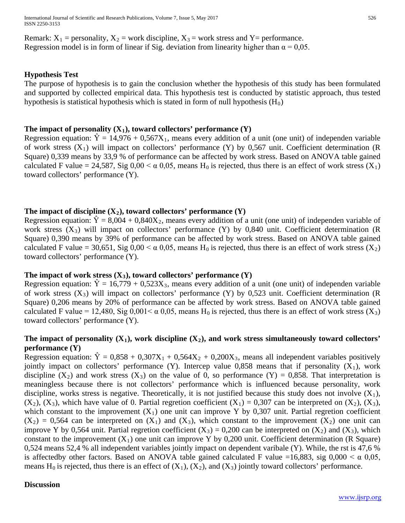Remark:  $X_1$  = personality,  $X_2$  = work discipline,  $X_3$  = work stress and Y = performance. Regression model is in form of linear if Sig. deviation from linearity higher than  $\alpha = 0.05$ .

## **Hypothesis Test**

The purpose of hypothesis is to gain the conclusion whether the hypothesis of this study has been formulated and supported by collected empirical data. This hypothesis test is conducted by statistic approach, thus tested hypothesis is statistical hypothesis which is stated in form of null hypothesis  $(H_0)$ 

## The impact of personality  $(X_1)$ , toward collectors' performance  $(Y)$

Regression equation:  $\hat{Y} = 14,976 + 0,567X_1$ , means every addition of a unit (one unit) of independen variable of work stress  $(X_1)$  will impact on collectors' performance  $(Y)$  by 0,567 unit. Coefficient determination (R) Square) 0,339 means by 33,9 % of performance can be affected by work stress. Based on ANOVA table gained calculated F value = 24,587, Sig  $0.00 < \alpha$  0.05, means H<sub>0</sub> is rejected, thus there is an effect of work stress (X<sub>1</sub>) toward collectors' performance (Y).

## The impact of discipline  $(X_2)$ , toward collectors' performance  $(Y)$

Regression equation:  $\hat{Y} = 8,004 + 0,840X_2$ , means every addition of a unit (one unit) of independen variable of work stress  $(X_3)$  will impact on collectors' performance  $(Y)$  by 0,840 unit. Coefficient determination (R) Square) 0,390 means by 39% of performance can be affected by work stress. Based on ANOVA table gained calculated F value = 30,651, Sig 0,00 <  $\alpha$  0,05, means H<sub>0</sub> is rejected, thus there is an effect of work stress (X<sub>2</sub>) toward collectors' performance (Y).

#### The impact of work stress  $(X_3)$ , toward collectors' performance  $(Y)$

Regression equation:  $\hat{Y} = 16,779 + 0,523X_3$ , means every addition of a unit (one unit) of independen variable of work stress  $(X_3)$  will impact on collectors' performance  $(Y)$  by 0,523 unit. Coefficient determination (R) Square) 0,206 means by 20% of performance can be affected by work stress. Based on ANOVA table gained calculated F value = 12,480, Sig 0,001  $\lt \alpha$  0,05, means H<sub>0</sub> is rejected, thus there is an effect of work stress (X<sub>3</sub>) toward collectors' performance (Y).

## The impact of personality  $(X_1)$ , work discipline  $(X_2)$ , and work stress simultaneously toward collectors' **performance (Y)**

Regression equation:  $\hat{Y} = 0.858 + 0.307X_1 + 0.564X_2 + 0.200X_3$ , means all independent variables positively jointly impact on collectors' performance (Y). Intercep value  $0.858$  means that if personality (X<sub>1</sub>), work discipline  $(X_2)$  and work stress  $(X_3)$  on the value of 0, so performance  $(Y) = 0.858$ . That interpretation is meaningless because there is not collectors' performance which is influenced because personality, work discipline, works stress is negative. Theoretically, it is not justified because this study does not involve  $(X_1)$ ,  $(X_2)$ ,  $(X_3)$ , which have value of 0. Partial regretion coefficient  $(X_1) = 0.307$  can be interpreted on  $(X_2)$ ,  $(X_3)$ , which constant to the improvement  $(X_1)$  one unit can improve Y by 0,307 unit. Partial regretion coefficient  $(X_2) = 0,564$  can be interpreted on  $(X_1)$  and  $(X_3)$ , which constant to the improvement  $(X_2)$  one unit can improve Y by 0,564 unit. Partial regretion coefficient  $(X_3) = 0,200$  can be interpreted on  $(X_2)$  and  $(X_3)$ , which constant to the improvement  $(X_1)$  one unit can improve Y by 0,200 unit. Coefficient determination (R Square) 0,524 means 52,4 % all independent variables jointly impact on dependent varibale (Y). While, the rst is 47,6 % is affectedby other factors. Based on ANOVA table gained calculated F value =16,883, sig  $0,000 < \alpha$  0,05, means H<sub>0</sub> is rejected, thus there is an effect of  $(X_1)$ ,  $(X_2)$ , and  $(X_3)$  jointly toward collectors' performance.

#### **Discussion**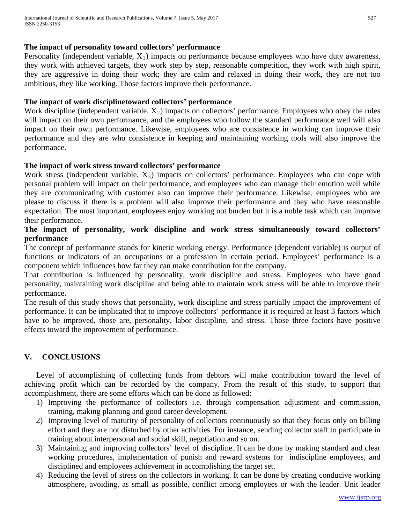## **The impact of personality toward collectors' performance**

Personality (independent variable,  $X_1$ ) impacts on performance because employees who have duty awareness, they work with achieved targets, they work step by step, reasonable competition, they work with high spirit, they are aggressive in doing their work; they are calm and relaxed in doing their work, they are not too ambitious, they like working. Those factors improve their performance.

## **The impact of work disciplinetoward collectors' performance**

Work discipline (independent variable,  $X_2$ ) impacts on collectors' performance. Employees who obey the rules will impact on their own performance, and the employees who follow the standard performance well will also impact on their own performance. Likewise, employees who are consistence in working can improve their performance and they are who consistence in keeping and maintaining working tools will also improve the performance.

## **The impact of work stress toward collectors' performance**

Work stress (independent variable,  $X_3$ ) impacts on collectors' performance. Employees who can cope with personal problem will impact on their performance, and employees who can manage their emotion well while they are communicating with customer also can improve their performance. Likewise, employees who are please to discuss if there is a problem will also improve their performance and they who have reasonable expectation. The most important, employees enjoy working not burden but it is a noble task which can improve their performance.

# **The impact of personality, work discipline and work stress simultaneously toward collectors' performance**

The concept of performance stands for kinetic working energy. Performance (dependent variable) is output of functions or indicators of an occupations or a profession in certain period. Employees' performance is a component which influences how far they can make contribution for the company.

That contribution is influenced by personality, work discipline and stress. Employees who have good personality, maintaining work discipline and being able to maintain work stress will be able to improve their performance.

The result of this study shows that personality, work discipline and stress partially impact the improvement of performance. It can be implicated that to improve collectors' performance it is required at least 3 factors which have to be improved, those are, personality, labor discipline, and stress. Those three factors have positive effects toward the improvement of performance.

# **V. CONCLUSIONS**

Level of accomplishing of collecting funds from debtors will make contribution toward the level of achieving profit which can be recorded by the company. From the result of this study, to support that accomplishment, there are some efforts which can be done as followed:

- 1) Improving the performance of collectors i.e. through compensation adjustment and commission, training, making planning and good career development.
- 2) Improving level of maturity of personality of collectors continuously so that they focus only on billing effort and they are not disturbed by other activities. For instance, sending collector staff to participate in training about interpersonal and social skill, negotiation and so on.
- 3) Maintaining and improving collectors' level of discipline. It can be done by making standard and clear working procedures, implementation of punish and reward systems for indiscipline employees, and disciplined and employees achievement in accomplishing the target set.
- 4) Reducing the level of stress on the collectors in working. It can be done by creating conducive working atmosphere, avoiding, as small as possible, conflict among employees or with the leader. Unit leader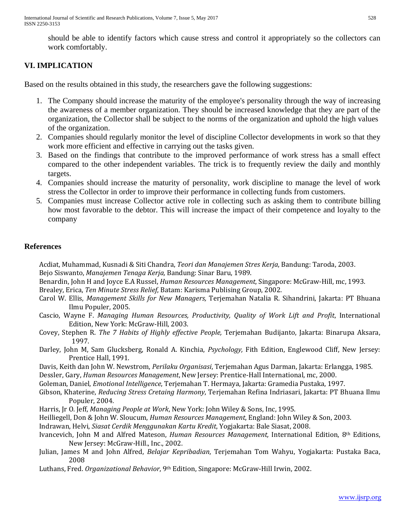should be able to identify factors which cause stress and control it appropriately so the collectors can work comfortably.

# **VI. IMPLICATION**

Based on the results obtained in this study, the researchers gave the following suggestions:

- 1. The Company should increase the maturity of the employee's personality through the way of increasing the awareness of a member organization. They should be increased knowledge that they are part of the organization, the Collector shall be subject to the norms of the organization and uphold the high values of the organization.
- 2. Companies should regularly monitor the level of discipline Collector developments in work so that they work more efficient and effective in carrying out the tasks given.
- 3. Based on the findings that contribute to the improved performance of work stress has a small effect compared to the other independent variables. The trick is to frequently review the daily and monthly targets.
- 4. Companies should increase the maturity of personality, work discipline to manage the level of work stress the Collector in order to improve their performance in collecting funds from customers.
- 5. Companies must increase Collector active role in collecting such as asking them to contribute billing how most favorable to the debtor. This will increase the impact of their competence and loyalty to the company

# **References**

Acdiat, Muhammad, Kusnadi & Siti Chandra, *Teori dan Manajemen Stres Kerja*, Bandung: Taroda, 2003. Bejo Siswanto, *Manajemen Tenaga Kerja,* Bandung: Sinar Baru, 1989.

Benardin, John H and Joyce E.A Russel, *Human Resources Management*, Singapore: McGraw-Hill, mc, 1993.

Brealey, Erica, *Ten Minute Stress Relief*, Batam: Karisma Publising Group, 2002.

- Carol W. Ellis, *Management Skills for New Managers,* Terjemahan Natalia R. Sihandrini, Jakarta: PT Bhuana Ilmu Populer, 2005.
- Cascio, Wayne F. *Managing Human Resources, Productivity, Quality of Work Lift and Profit*, International Edition, New York: McGraw-Hill, 2003.
- Covey, Stephen R. *The 7 Habits of Highly effective People,* Terjemahan Budijanto, Jakarta: Binarupa Aksara, 1997.
- Darley, John M, Sam Glucksberg, Ronald A. Kinchia, *Psychology,* Fith Edition, Englewood Cliff, New Jersey: Prentice Hall, 1991.
- Davis, Keith dan John W. Newstrom, *Perilaku Organisasi*, Terjemahan Agus Darman, Jakarta: Erlangga, 1985.

Dessler, Gary, *Human Resources Management*, New Jersey: Prentice-Hall International, mc, 2000.

- Goleman, Daniel, *Emotional Intelligence*, Terjemahan T. Hermaya, Jakarta: Gramedia Pustaka, 1997.
- Gibson, Khaterine, *Reducing Stress Cretaing Harmony*, Terjemahan Refina Indriasari, Jakarta: PT Bhuana Ilmu Populer, 2004.
- Harris, Jr O. Jeff, *Managing People at Work*, New York: John Wiley & Sons, Inc, 1995.
- Heilliegell, Don & John W. Sloucum, *Human Resources Management*, England: John Wiley & Son, 2003.

Indrawan, Helvi, *Siasat Cerdik Menggunakan Kartu Kredit*, Yogjakarta: Bale Siasat, 2008.

- Ivancevich, John M and Alfred Mateson, *Human Resources Management,* International Edition, 8th Editions, New Jersey: McGraw-Hill., Inc., 2002.
- Julian, James M and John Alfred, *Belajar Kepribadian*, Terjemahan Tom Wahyu, Yogjakarta: Pustaka Baca, 2008
- Luthans, Fred. *Organizational Behavior*, 9th Edition, Singapore: McGraw-Hill Irwin, 2002.